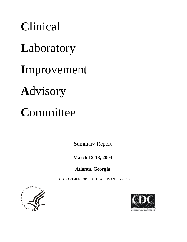**C**linical **L**aboratory **I**mprovement **A**dvisory **C**ommittee

Summary Report

# **March 12-13, 2003**

**Atlanta, Georgia**

U.S. DEPARTMENT OF HEALTH & HUMAN SERVICES



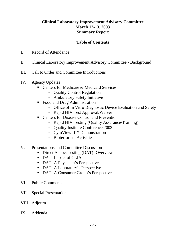# **Clinical Laboratory Improvement Advisory Committee March 12-13, 2003 Summary Report**

# **Table of Contents**

- I. Record of Attendance
- II. Clinical Laboratory Improvement Advisory Committee Background
- III. Call to Order and Committee Introductions
- IV. Agency Updates
	- Centers for Medicare & Medicaid Services
		- Quality Control Regulation
		- Ambulatory Safety Initiative
	- Food and Drug Administration
		- Office of In Vitro Diagnostic Device Evaluation and Safety
		- Rapid HIV Test Approval/Waiver
	- Centers for Disease Control and Prevention
		- Rapid HIV Testing (Quality Assurance/Training)
		- Quality Institute Conference 2003
		- CytoView II™ Demonstration
		- Bioterrorism Activities
- V. Presentations and Committee Discussion
	- **Direct Access Testing (DAT)- Overview**
	- DAT- Impact of CLIA
	- DAT- A Physician's Perspective
	- DAT- A Laboratory's Perspective
	- **DAT- A Consumer Group's Perspective**
- VI. Public Comments
- VII. Special Presentations
- VIII. Adjourn
- IX. Addenda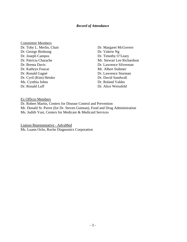### *Record of Attendance*

- Committee Members Dr. Toby L. Merlin, Chair Dr. Margaret McGovern Dr. George Birdsong Dr. Valerie Ng Dr. Joseph Campos Dr. Timothy O'Leary Dr. Brenta Davis Dr. Lawrence Silverman Dr. Kathryn Foucar Mr. Albert Stahmer Dr. Ronald Gagné Dr. Lawrence Sturman Dr. Cyril (Kim) Hetsko Dr. David Sundwall Ms. Cynthia Johns Dr. Roland Valdes Dr. Ronald Luff Dr. Alice Weissfeld
- Dr. Patricia Charache Mr. Stewart Lee Richardson

Ex Officio Members

Dr. Robert Martin, Centers for Disease Control and Prevention Mr. Donald St. Pierre (for Dr. Steven Gutman), Food and Drug Administration Ms. Judith Yost, Centers for Medicare & Medicaid Services

Liaison Representative - AdvaMed Ms. Luann Ochs, Roche Diagnostics Corporation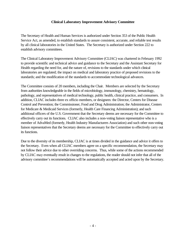### **Clinical Laboratory Improvement Advisory Committee**

The Secretary of Health and Human Services is authorized under Section 353 of the Public Health Service Act, as amended, to establish standards to assure consistent, accurate, and reliable test results by all clinical laboratories in the United States. The Secretary is authorized under Section 222 to establish advisory committees.

The Clinical Laboratory Improvement Advisory Committee (CLIAC) was chartered in February 1992 to provide scientific and technical advice and guidance to the Secretary and the Assistant Secretary for Health regarding the need for, and the nature of, revisions to the standards under which clinical laboratories are regulated; the impact on medical and laboratory practice of proposed revisions to the standards; and the modification of the standards to accommodate technological advances.

The Committee consists of 20 members, including the Chair. Members are selected by the Secretary from authorities knowledgeable in the fields of microbiology, immunology, chemistry, hematology, pathology, and representatives of medical technology, public health, clinical practice, and consumers. In addition, CLIAC includes three ex officio members, or designees: the Director, Centers for Disease Control and Prevention; the Commissioner, Food and Drug Administration; the Administrator, Centers for Medicare & Medicaid Services (formerly, Health Care Financing Administration); and such additional officers of the U.S. Government that the Secretary deems are necessary for the Committee to effectively carry out its functions. CLIAC also includes a non-voting liaison representative who is a member of AdvaMed (formerly, Health Industry Manufacturers Association) and such other non-voting liaison representatives that the Secretary deems are necessary for the Committee to effectively carry out its functions.

Due to the diversity of its membership, CLIAC is at times divided in the guidance and advice it offers to the Secretary. Even when all CLIAC members agree on a specific recommendation, the Secretary may not follow their advice due to other overriding concerns. Thus, while some of the actions recommended by CLIAC may eventually result in changes to the regulations, the reader should not infer that all of the advisory committee's recommendations will be automatically accepted and acted upon by the Secretary.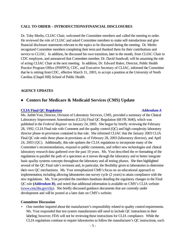### **CALL TO ORDER – INTRODUCTIONS/FINANCIAL DISCLOSURES**

Dr. Toby Merlin, CLIAC Chair, welcomed the Committee members and called the meeting to order. He reviewed the role of CLIAC and asked Committee members to make self-introductions and give financial disclosure statements relevant to the topics to be discussed during the meeting. Dr. Merlin recognized Committee members completing their term and thanked them for their contributions and service to CLIAC. In addition, he discussed his own transition, later in the month, from CLIAC Chair to CDC employee, and announced that Committee member, Dr. David Sundwall, will be assuming the role of acting CLIAC Chair at the next meeting. In addition, Dr. Edward Baker, Director, Public Health Practice Program Office (PHPPO), CDC, and Executive Secretary of CLIAC, informed the Committee that he is retiring from CDC, effective March 31, 2003, to accept a position at the University of North Carolina (Chapel Hill) School of Public Health.

### **AGENCY UPDATES**

# ■ **Centers for Medicare & Medicaid Services (CMS) Update**

### **[CLIA Final QC Regulation](https://www.cdc.gov/cliac/docs/addenda/cliac0303/Yost0303A.pdf)** *Addendum A*

Ms. Judith Yost, Director, Division of Laboratory Services, CMS, provided a summary of the Clinical Laboratory Improvement Amendments (CLIA) Final QC Regulation (68 FR 3640), which was published in the *Federal Register* on January 24, 2003. She began by briefly reviewing the February 28, 1992, CLIA Final rule with Comment and the quality control (QC) and high complexity laboratory director phase-in provisions contained in that rule. She informed CLIAC that the January 2003 CLIA Final QC rule ends these phase-in provisions as of February 28, 2003 (laboratory director), and April 24, 2003 (QC). Additionally, this rule updates the CLIA regulations to incorporate many of the Committee's recommendations, respond to public comments, and reflect new technologies and clinical laboratory research data gathered over the past 10 years. Ms. Yost described the re-formatting of the regulations to parallel the path of a specimen as it moves through the laboratory and to better integrate basic quality systems concepts throughout the laboratory and all testing phases. She then highlighted several of the QC Final rule's revisions and, in particular, the flexibility given to laboratories to determine their own QC mechanisms. Ms. Yost reemphasized CMS's focus on an educational approach to implementation, including allowing laboratories one survey cycle (2 years) to attain compliance with the new regulations. Ms. Yost provided the members handouts detailing the regulatory changes in the Final QC rule **(***[Addendum](https://www.cdc.gov/cliac/docs/addenda/cliac0303/Yost-Details0303B.pdf) B***)**, and noted that additional information is available on CMS's CLIA website [\(www.cms.hhs.gov/clia\)](http://www.cms.hhs.gov/clia/). She briefly discussed guidance documents that are currently under development and will be posted at a later date on CMS's website.

### **Committee Discussion**

• One member inquired about the manufacturer's responsibility related to quality control requirements. Ms. Yost responded that test system manufacturers still need to include QC instructions in their labeling; however, FDA will not be reviewing these instructions for CLIA compliance. While the CLIA regulations continue to require laboratories to follow the manufacturer's QC instructions, each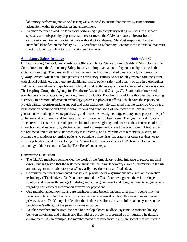laboratory performing nonwaived testing will also need to ensure that the test system performs adequately within its particular testing environment.

• Another member asked if a laboratory performing high complexity testing must ensure that each specialty and subspecialty departmental director meets the CLIA laboratory director board certification requirement for individuals with a doctoral degree. Ms Yost responded that the individual identified on the facility's CLIA certificate as Laboratory Director is the individual that must meet the laboratory director qualification requirements.

### **[Ambulatory Safety Initiative](https://www.cdc.gov/cliac/docs/addenda/cliac0303/Young0303C.pdf)** *Addendum* **C**

Dr. Scott Young, Senior Clinical Advisor, Office of Clinical Standards and Quality, CMS, informed the Committee about the Ambulatory Safety Initiative to improve patient safety and quality of care in the ambulatory setting. The basis for this Initiative was the Institute of Medicine's report, *Crossing the Quality Chasm*, which noted that patients in ambulatory settings do not reliably receive care consistent with clinical guidelines; that there are significant risks to patient safety and quality of care in these settings; and that substantial gains in quality and safety depend on the incorporation of clinical information systems. The Leapfrog Group, the Agency for Healthcare Research and Quality, CMS, and other interested stakeholders are collaboratively working through a Quality Task Force to address these issues, adopting a strategy to promote information technology systems in physician offices, which have the capacity to provide clinical decision-making support and data exchange. He explained that the Leapfrog Group is a large coalition of public and private organizations and purchasers of healthcare that have united to generate new thinking on value purchasing and to use the leverage of large employers to propose "leaps" to the medical community and facilitate quality improvement in healthcare. The Quality Task Force's three areas of focus are electronic prescribing to increase legibility and decrease the occurrence of drug interaction and dosage errors; electronic test results management to alert the practitioner of test results not reviewed and to decrease unnecessary test ordering; and electronic care reminders (E-care) to prompt the practitioner to remind patients to schedule office visits, laboratory or other services, or to identify patients in need of monitoring. Dr. Young briefly described other HHS health-information technology initiatives and the Quality Task Force's next steps.

### **Committee Discussion**

- The CLIAC members commended the work of the Ambulatory Safety Initiative to reduce medical errors, but suggested that the task force substitute the term "laboratory errors" with "errors in the use and management of laboratory data," to clarify they do not mean "bad" data.
- Committee members commented that several private sector organizations have similar information technology (IT) initiatives. Dr. Young responded the Task Force recognizes there is no single solution and is currently engaged in dialog with other government and nongovernmental organizations regarding cost efficient information systems for physicians.
- One member asked how the E-care reminder would benefit patients, since many people may not have computers in their home or office, and voiced concern about how this would impact patient privacy issues. Dr. Young clarified that this initiative is directed toward information systems in the practitioner's office, not the patient's home or office.
- Another member emphasized the need to develop closed-feedback systems to maintain linkage between physicians and patients and thus address problems presented by a migratory healthcare environment. As an example, the member noted that laboratory results are sometimes returned to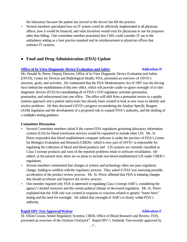the laboratory because the patient has moved or the doctor has left the practice.

• Several members speculated how an IT system could be effectively implemented in all physician offices, how it would be financed, and what incentives would exist for physicians to use for purposes other than billing. One committee member postulated that CMS could consider IT use in the ambulatory setting as a best practice standard and tie reimbursement to physician offices that embrace IT systems.

# ■ **Food and Drug Administration (FDA) Update**

#### **[Office of In Vitro Diagnostic Device Evaluation and Safety](https://www.cdc.gov/cliac/docs/addenda/cliac0303/St.Pierre0303D.pdf)** *Addendum D*

Mr. Donald St. Pierre, Deputy Director, Office of In Vitro Diagnostic Device Evaluation and Safety (OIVD), Center for Devices and Radiological Health, FDA, presented an overview of OIVD's structure, goals, and activities. He commented that the FDA Modernization Act of 1997 was the driving force behind the establishment of this new office, which will provide cradle-to-grave oversight of in vitro diagnostic devices (IVD) by consolidating all of FDA's IVD regulatory activities (premarket, postmarket, and enforcement) into one office. The office will shift from a premarket review to a quality systems approach and a patient safety team has already been created to look at new ways to identify and resolve problems. He then discussed OIVD's progress reconsidering the Analyte Specific Reagent (ASR) regulation and the development of a proposed rule to expand FDA's authority, and the drafting of a multiplex testing guidance.

### **Committee Discussion**

- Several Committee members asked if the current FDA regulations governing laboratory information systems (LIS) for blood transfusion services would be expanded to include other LIS. Mr. St. Pierre responded that blood establishment computer software is under the purview of FDA's Center for Biologics Evaluation and Research (CBER)--which is now part of OIVD--is responsible for regulating the collection of blood and blood products and. LIS systems are currently classified as Class I exempt products and most of the reported problems relate to software revalidation. He added, at the present time, there are no plans to include non-blood establishment LIS under CBER's regulations.
- Several members commented that changes in science and technology often out-pace regulatory change, leading to conflicts with the regulatory process. They asked if FDA was assessing possible acceleration of the product review process. Mr. St. Pierre affirmed that FDA is initiating changes that should accelerate and improve the review process.
- One member inquired why FDA is interested in regulating Class I exempt ASR's, considering the agency's limited resources and the current political climate of decreased regulation. Mr. St. Pierre explained that the ASR rule was created in response to concerns related to genetic "home brew" testing and the need for oversight. He added that oversight of ASR's is clearly within FDA's authority.

### **[Rapid HIV Test Approval/Waiver](https://www.cdc.gov/cliac/docs/addenda/cliac0303/Cowan_031203.pdf)** *Addendum E*

Dr. Elliott Cowan, Senior Regulatory Scientist, CBER, Office of Blood Research and Review, FDA, presented an overview of the OraSure OraQuick<sup>®</sup> Rapid HIV-1 Antibody Test recently approved by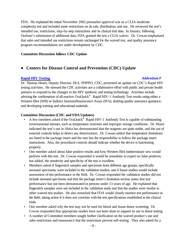FDA. He explained the initial November 2002 premarket approval was as a CLIA moderate complexity test and included some restrictions on its sale, distribution, and use. He reviewed the test's intended use, restrictions, step-by-step instructions and its clinical trial data. In January, following OraSure's submission of additional data, FDA granted the test a CLIA waiver. Dr. Cowan emphasized that sales and intended use restrictions remain unchanged for the waived test, and quality assurance program recommendations are under development by CDC.

#### **Committee Discussion follows CDC Update**

# # **Centers for Disease Control and Prevention (CDC) Update**

### **[Rapid HIV Testing](https://www.cdc.gov/cliac/docs/addenda/cliac0303/Hearn0303F.pdf)** *Addendum F*

Dr. Thomas Hearn, Deputy Director, DLS, PHPPO, CDC, presented an update on CDC's Rapid HIV testing activities. He stressed the CDC activities are a collaborative effort with public and private health partners to respond to the changes in the HIV epidemic and testing technology. Activities include advising the confirmation of all reactive OraQuick<sup>®</sup> Rapid HIV-1 Antibody Test results using either a Western Blot (WB) or Indirect Immunoflourescence Assay (IFA); drafting quality assurance guidance; and developing training and educational materials.

#### **Committee Discussion (CDC and FDA Updates)**

- A few members asked if the OraQuick® Rapid HIV-1 Antibody Test is capable of withstanding environmental stresses, such as temperature extremes and improper storage conditions. Dr. Hearn indicated the test's use in Africa has demonstrated that the reagents are quite stable, and the use of external controls helps to detect any deterioration. Dr. Cowan added that temperature limitations are listed in the package insert and the user has the responsibility to follow the package insert instructions. Also, the procedural controls should indicate whether the device is functioning properly.
- One member asked about false positive results and how Western Blot indeterminate sera would perform with this test. Dr. Cowan responded it would be unrealistic to expect no false positives, but added, the sensitivity and specificity of the test is excellent.
- Members asked if fingerstick samples and specimens from different age groups, specifically neonatal specimens, were included in the validation studies; and if future studies would include assessment of test performance in the field. Dr. Cowan responded the validation studies did not include neonatal specimens and that the package insert's limitation section states that test performance has not been demonstrated in persons under 13 years of age. He explained that fingerstick samples were not included in the validation study and that the studies were similar to other waived test studies. He also remarked that FDA would closely monitor test performance in the field, taking action if it does not correlate with the test specifications established in the clinical trials.
- One member asked why the test may not be used for blood and tissue donor screening. Dr. Cowan responded that appropriate studies have not been done to support its use in donor testing.
- A number of Committee members sought further clarification on the waived product's use and sales restrictions and reassurance that the restrictions prevent self-testing. They also asked for a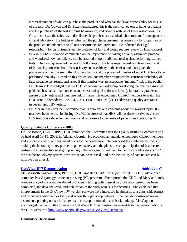clearer definition of who can purchase the product and who has the legal responsibility for misuse of the test. Dr. Cowan and Dr. Hearn emphasized this is the first waived test to have restrictions and the purchaser of the test kit must be aware of, and comply with, all of these restrictions. Dr. Cowan stressed the sales restriction limited its purchase to a clinical laboratory and/or an agent of a clinical laboratory. He further emphasized the purchaser assumes responsibility for proper use of the product and adherence to all test performance requirements. He indicated that legal responsibility for test misuse is an interpretation of law and would require review by legal counsel.

- Several CLIAC members commented on the importance of having a quality assurance protocol and wondered how compliance can be assured at non-traditional testing sites performing waived tests. They also questioned the lack of follow-up on the false negative test results in the clinical trials, voicing concern about the sensitivity and specificity in the clinical trail data given the prevalence of the disease in the U.S. population and the projected number of rapid HIV tests to be performed annually. Based on this projection, one member estimated the statistical probability of false negative test results and asked if this number was an acceptable "minimal" risk to the public. Dr. Hearn acknowledged that the CDC collaborative workgroup developing the quality assurance guidance has had similar concerns and is examining all options to identify laboratory practices to assure quality testing and minimize risk of harm. He encouraged CLIAC members to watch the CDC satellite broadcast April 24, 2003, 1:00 – 3:00 PM (EDT) addressing quality assurance issues in rapid HIV testing.
- Dr. Merlin reassured the Committee that its opinions and concerns about the waived rapid HIV test have been heard. In closing, Dr. Merlin stressed that HHS will continue to strive to ensure HIV testing is safe, effective, timely and responsive to the needs of patients and public health.

### **Quality Institute Conference 2003**

Dr. Joe Boone, DLS, PHPPO, CDC reminded the Committee that the Quality Institute Conference will be held April 13-15, 2003, in Atlanta, Georgia. He provided an agenda, encouraged CLIAC members and visitors to attend, and reviewed plans for the conference He described the conference's focus of making the laboratory a key partner in patient safety and the plans to seek participation of healthcare partners in an interactive workgroup setting. The workgroups will help to identify the laboratory's "fit" in the healthcare delivery system, how errors can be reduced, and how the quality of patient care can be improved as a result.

#### **[CytoViewII™ Demonstration](https://www.cdc.gov/cliac/docs/addenda/cliac0303/Gagnon0303G.pdf)** *Addendum G*

Ms. Maribeth Gagnon, DLS, PHPPO, CDC, updated CLIAC on CytoView II™, a DLS-developed computer-based cytology proficiency testing (PT) program. She reported the CDC and Maryland study comparing cytology computer-based proficiency testing with glass-slide proficiency testing has been completed, the data analyzed, and publication of the study results is forthcoming. She explained that improvements in the CytoView II™ version software have increased its similarity to a glass-slide format and provided additional flexibility and access through laptop delivery. She then demonstrated several test menus, pointing out such features as microscopic simulation and bookmarking. Ms. Gagnon encouraged the Committee to view the CytoView II<sup>™</sup> demonstrations available to the general public on the DLS website at [http://www.phppo.cdc.gov/cyto/CytoView\\_Demo.asp](http://www.phppo.cdc.gov/cyto/CytoView_Demo.asp)

#### **Committee Discussion**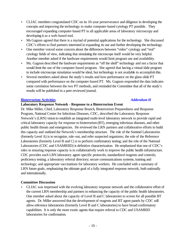- CLIAC members congratulated CDC on its 10-year perserverance and diligence in developing the concepts and improving the technology to make computer-based cytology PT possible. They encouraged expanding computer-based PT to all applicable areas of laboratory microscopy and developing it as a web-based tool.
- Ms Gagnon agreed that there is a myriad of potential applications for the technology. She discussed CDC's efforts to find partners interested in expanding its use and further developing the technology.
- One member voiced some concern about the differences between "video" cytology and "real" cytology fields of view, indicating that simulating the microscope itself would be very helpful. Another member asked if the hardware requirements would limit program use and availability.
- Ms. Gagnon described the hardware requirements as "off the shelf" technology and not a factor that would limit the use of the computer-based program. She agreed that having a virtual slide program to include microscope simulation would be ideal, but technology is not available to accomplish this.
- Several members asked about the study's results and how performance on the glass-slide PT compared with performance on the computer-based PT. Ms. Gagnon responded the data indicates some correlation between the two PT methods, and reminded the Committee that all of the study's results will be published in a peer-reviewed journal.

# **[Bioterrorism Activities](https://www.cdc.gov/cliac/docs/addenda/cliac0303/Miller0303H.pdf)** *Addendum H*

# **Laboratory Response Network - Response to a Bioterrorism Event**

# Dr. Mike Miller, Chief, Laboratory Response Branch, Bioterrorism Preparedness and Response Program, National Center for Infectious Diseases, CDC, described the Laboratory Response Network's (LRN) vision to establish an integrated multi-level laboratory network to provide rapid and critical laboratory capacity for response to bioterrorism (BT), emerging infectious diseases, and other public health threats and emergencies. He reviewed the LRN partners and collaborative efforts to build this capacity and outlined the Network's membership structure. The role of the Sentinel Laboratories (formerly Level A) is to recognize, rule-out, and refer suspected organisms; the role of the Reference Laboratories (formerly Level B and C) is to perform confirmatory testing; and the role of the National Laboratories (CDC and USAMRIID) is definitive characterization. He emphasized that one of CDC's roles in ensuring response capacity is to collaboratively work to improve the public health infrastructure. CDC provides each LRN laboratory agent-specific protocols; standardized reagents and controls; proficiency testing; a laboratory referral directory; secure communications systems; training and technology; and appropriate vaccinations for laboratory workers. He concluded with a summary of LRN future goals, emphasizing the ultimate goal of a fully integrated response network, both nationally and internationally.

# **Committee Discussion**

• CLIAC was impressed with the evolving laboratory response network and the collaborative effort of the current LRN membership and partners in enhancing the capacity of the public health laboratories. One member asked about the capacity of Level B and C laboratories to screen for all possible BT agents. Dr. Miller answered that the development of reagents and BT agent panels by CDC will allow reference laboratories (formerly Level B and C laboratories) to have broad confirmatory capabilities. It is only the more exotic agents that require referral to CDC and USAMRID laboratories for confirmation.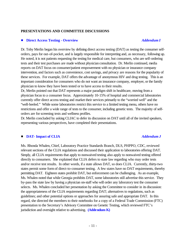#### **PRESENTATIONS AND COMMITTEE DISCUSSIONS**

### ■ **[Direct Access Testing - Overview](https://www.cdc.gov/cliac/docs/addenda/cliac0303/Merlin0303I.pdf)** *Addendum I*

Dr. Toby Merlin began his overview by defining direct access testing (DAT) as testing the consumer selforders, pays for out-of-pocket, and is largely responsible for interpreting and, as necessary, following up. He noted, it is not patients requesting the testing for medical care, but consumers, who are self-ordering tests and their test purchases are made without physician consultation. Dr. Merlin continued, media reports on DAT focus on consumer/patient empowerment with no physician or insurance company intervention, and factors such as convenience, cost savings, and privacy are reasons for the popularity of these services. For example, DAT offers the advantage of anonymous HIV and drug testing. This is an important consideration for consumers who do not want an insurance company, employer, or the family physician to know they have been tested or to have access to their results.

Dr, Merlin pointed out that DAT represents a major paradigm shift in healthcare, moving from a physician focus to a consumer focus. Approximately 10-15% of hospital and commercial laboratories currently offer direct access testing and market their services primarily to the "worried well" and the "well-heeled." While some laboratories restrict this service to a limited testing menu, others have no restrictions and offer a wide range of tests to the consumer, including genetic tests. The majority of selforders are for screening tests and wellness profiles.

Dr. Merlin concluded by asking CLIAC to defer its discussion on DAT until all of the invited speakers, representing various perspectives, have completed their presentations.

### **DAT-Impact of CLIA** *Addendum J*

Ms. Rhonda Whalen, Chief, Laboratory Practice Standards Branch, DLS, PHPPO, CDC, reviewed relevant sections of the CLIA regulations and discussed their application to laboratories offering DAT. Simply, all CLIA requirements that apply to nonwaived testing also apply to nonwaived testing offered directly to consumers. She explained that CLIA defers to state law regarding who may order tests and/or receive test results. In other words, if a state allows DAT, so does CLIA. Currently, thirty-two states permit some form of direct-to-consumer testing. A few states have no DAT requirements, thereby permitting DAT. Eighteen states prohibit DAT, but enforcement can be challenging. As an example, Ms. Whalen noted that while Georgia prohibits DAT, some laboratories still advertise this service. They by-pass the state law by having a physician on-staff who will order any laboratory test the consumer selects. Ms. Whalen concluded her presentation by asking the Committee to consider in its discussion: the appropriateness of the CLIA requirements regarding DAT; alternatives to regulations, such as guidelines; and other potential options or approaches for assuring safe and appropriate DAT. In this regard, she directed the members to their notebooks for a copy of a Federal Trade Commission (FTC) presentation to the Secretary's Advisory Committee on Genetic Testing, which reviewed FTC's jurisdiction and oversight relative to advertising. **[\(Addendum K\)](https://www.cdc.gov/cliac/docs/addenda/cliac0303/Daynard0303K.pdf)**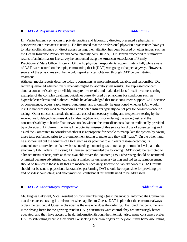#### # **[DAT- A Physician's Perspective](https://www.cdc.gov/cliac/docs/addenda/cliac0303/Janzen0303L.pdf)** *Addendum L*

Dr. Verlin Janzen, a physician in private practice and laboratory director, presented a physician's perspective on direct access testing. He first noted that the professional physician organizations have yet to take an official stance on direct access testing; their attention has been focused on other issues, such as the Health Insurance Portability and Accountability Act (HIPAA). Dr. Janzen proceeded to summarize results of an informal on-line survey he conducted using the American Association of Family Practitioners' State Officer Listserv. Of the 18 physician respondents, approximately half, while aware of DAT, were neutral on the topic, commenting that it (DAT) was going to happen anyway. However, several of the physicians said they would repeat any test obtained through DAT before initiating treatment.

Although media reports describe today's consumers as more informed, capable, and responsible, Dr. Janzen questioned whether this is true with regard to laboratory test results. He expressed concern about a consumer's ability to reliably interpret test results and make decisions for self-treatment, citing examples of the complex treatment guidelines currently used by physicians for conditions such as hypercholesterolemia and diabetes. While he acknowledged that most consumers support DAT because of convenience, access, rapid turn-around times, and anonymity, he questioned whether DAT would result in unnecessary medical procedures and noted insurers typically do not pay for consumer-ordered testing. Other concerns include the ultimate cost of unnecessary testing and frequent re-testing by the worried well; delayed diagnosis due to false negative results or ordering the wrong test; and the consumer's ability to handle "bad news" results without the immediate consultation traditionally provided by a physician. Dr. Janzen mentioned the potential misuse of this service for drugs of abuse testing and asked the Committee to consider whether it is appropriate for people to manipulate the system by having these tests performed prior to pre-employment testing to make sure they will "pass." On the other hand, he also pointed out the benefits of DAT, such as its potential role in early disease detection; its convenience to travelers or "snow-birds" needing monitoring tests such as prothrombin levels; and the anonymity DAT offers. In closing, Dr. Janzen recommended the following: DAT should be restricted to a limited menu of tests, such as those available "over-the-counter"; DAT advertising should be restricted or limited because advertising can create a market for unnecessary testing and fad tests; reimbursement should be limited to those tests that are medically necessary; because of liability concerns, DAT results should not be sent to physicians; laboratories performing DAT should be responsible for providing preand post-test counseling; and anonymous vs. confidential test results need to be addressed.

#### **[DAT- A Laboratory's Perspective](https://www.cdc.gov/cliac/docs/addenda/cliac0303/Bakewell0303M.pdf)** *Addendum M*

Mr. Hughes Bakewell, Vice President of Consumer Testing, Quest Diagnostics, informed the Committee that direct access testing is a misnomer when applied to Quest. DAT implies that the consumer always orders the test but, at Quest, a physician is the one who does the ordering. He noted that consumerism is the driving force for the growing trend in DAT; consumers want control, they are increasingly better educated, and they have access to health information through the Internet. Also, many consumers prefer DAT to self-testing because they don't like sticking their own fingers or they don't trust home-use testing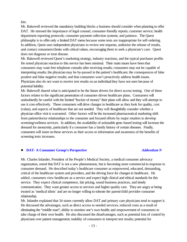kits.

Mr. Bakewell reviewed the mandatory building blocks a business should consider when planning to offer DAT. He stressed the importance of legal counsel, consumer-friendly reports; customer service; health department reporting protocols; consumer-payment collection systems; and patience. The Quest philosophy is to offer only a limited DAT menu because some tests are inappropriate for self-ordering. In addition, Quest uses independent physicians to review test requests, authorize the release of results, and contact consumers/clients with critical values, encouraging them to seek a physician's care. Quest does not diagnose or treat disease.

Mr. Bakewell reviewed Quest's marketing strategy, industry reactions, and the typical purchaser profile. He noted physician reaction to this service has been minimal. Their main issues have been that consumers may want free telephone consults after receiving results; consumers may not be capable of interpreting results; the physician may be by-passed in the patient's healthcare; the consequences of false positive and false negative results; and that consumers won't proactively address health issues. Physicians also do not want to receive test results on an individual they have not seen because of potential liability.

Mr. Bakewell shared what is anticipated to be the future drivers for direct access testing. One of these factors relates to the significant penetration of consumer-driven healthcare plans. Consumers will undoubtedly be careful with the limited "bucket of money" their plans will allow and they will attempt to use it cost-effectively. These consumers will drive changes in healthcare as they look for quality, cost (value), and aspects of healthcare that are not needed. They will thoughtfully consider whether a physician office visit is warranted. Other factors will be the increased pharmaceutical marketing shift from patient/doctor relationships to the consumer and focused efforts by major retailers to develop screening/wellness services. In addition, the availability of actionable gene-based testing will increase the demand for anonymity, particularly if a consumer has a family history of certain diseases. Finally, consumers will insist on these services as their access to information and awareness of the benefits of screening tests increases.

### # **[DAT- A Consumer Group's Perspective](https://www.cdc.gov/cliac/docs/addenda/cliac0303/Inlander0303N.pdf)** *Addendum N*

Mr. Charles Inlander, President of the People's Medical Society, a medical consumer advocacy organization, noted that DAT is not a new phenomenon, but is becoming more commercial in response to consumer demand. He described today's healthcare consumer as empowered, educated, demanding, critical of the healthcare system and providers, and the driving force for changes in healthcare. He added, consumers view healthcare as a service and expect high clinical and ethical standards for this service. They expect clinical competence, fair pricing, sound business practices, and timely communication. They want greater access to services and higher quality care. They are angry at being treated as 'medical idiots' and are no longer willing to tolerate the parent/child provider-consumer relationship.

Mr. Inlander explained that 34 states currently allow DAT and primary care physicians tend to support it. He discussed the advantages, such as direct access to needed services; reduced costs as a result of eliminating the "middle man"; ability to monitor one's own health; and empowerment of consumers to take charge of their own health. He also discussed the disadvantages, such as potential loss of control by physicians over patient management; inability of consumers to interpret test results; potential for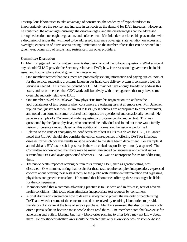unscrupulous laboratories to take advantage of consumers; the tendency of hypochondriacs to inappropriately use the service; and increase in test costs as the demand for DAT increases. However, he continued, the advantages outweigh the disadvantages, and the disadvantages can be addressed through education, oversight, regulation, and enforcement. Mr. Inlander concluded his presentation with a discussion of issues that will need to be addressed: insurance coverage; state variation on access and oversight; expansion of direct access testing; limitations on the number of tests that can be ordered in a given year; ownership of results; and resistance from other providers.

### **Committee Discussion**

Dr. Merlin suggested the Committee frame its discussion around the following questions: What advice, if any, should CLIAC provide the Secretary relative to DAT; how intrusive should government be in this issue; and how or where should government intervene?

- One member iterated that consumers are proactively seeking information and paying out-of- pocket for this service, suggesting a systems failure in our healthcare delivery system if consumers feel this service is needed. This member pointed out CLIAC may not have enough breadth to address this issue, and recommended that CDC work collaboratively with other agencies that may have some oversight authority relative to DAT.
- One member asked Mr. Bakewell how physicians from his organization can address the appropriateness of test requests when consumers are ordering tests at a remote site. Mr. Bakewell replied that Quest's test menu is limited to tests Quest believes are appropriate to offer consumers, and noted that some consumer-ordered test requests are questioned and occasionally denied. He gave an example of a 25-year-old male requesting a prostate-specific antigen test. This was questioned by the Quest physician, who contacted the individual and found out there was a family history of prostate cancer. Based on this additional information, the test was performed.
- Relative to the issue of anonymity vs. confidentiality of test results as a driver for DAT, Dr. Janzen noted that CLIAC should also consider the ethical consequences of offering DAT for infectious diseases for which positive results must be reported to the state health department. For example, if an individual's HIV test result is positive, is there an ethical responsibility to notify a spouse? The Committee acknowledged that there may be many unintended consequences and ethical issues surrounding DAT and again questioned whether CLIAC was an appropriate forum for addressing them.
- The public health impact of offering certain tests through DAT, such as genetic testing, was discussed. One member, noting that results for these tests require complex interpretation, expressed concern about offering these tests directly to the public with insufficient interpretation and bypassing physicians and genetic counselors. He warned that laboratories offering these tests might be liable for the consequences.
- Members noted that a common advertising practice is to use fear, and in this case, fear of adverse health conditions. This tactic often stimulates inappropriate test requests by consumers.
- A brief discussion centered on how to design a safety net to protect the majority of people using DAT, and whether some of the concerns could be resolved by requiring laboratories to provide mandatory disclosure at the time of service purchase. Members surmised that disclosures may only offer a partial solution because most people don't read them. One member noted that laws exist for advertising and truth in labeling, but many laboratories planning to offer DAT may not know about them. He questioned whether laws should be enacted that only allow evidence- or science-based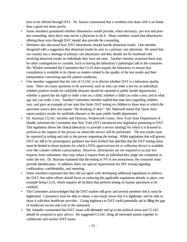tests to be offered through DAT. Dr. Janzen commented that a worthless test done well is no better than a good test done poorly.

- Some members questioned whether laboratories would provide, when necessary, pre-test and posttest counseling, since there may not be a physician to do it. Many members stated that laboratories offering these tests through DAT should also provide the counseling.
- Members also discussed how DAT laboratories should handle abnormal results. One member disagreed with a suggestion that abnormal results be sent to a primary care physician. He noted that our country has a shortage of primary care physicians and they should not be burdened with receiving abnormal results on individuals they have not seen. Another member proposed there may be other contingencies to consider, such as having the laboratory's pathologist talk to the consumer. Ms. Whalen reminded the Committee that CLIA does require the laboratory to ensure that consultation is available to its clients on matters related to the quality of the test results and their interpretation concerning specific patient conditions.
- One member suggested that the role of CLIAC is to discern whether DAT is a laboratory quality issue. There are many questions to be answered, such as who can order a test for an individual; whether positive results for notifiable diseases should be reported to public health departments; whether a parent has the right to order a test on a child; whether a child can order a test; and at what age one can order a test. Another Committee member replied that state laws regarding children vary, and gave an example of one state that limits DAT testing on children to those tests in which the specimen source does not require "the breaking of skin." Mr. Bakewell stated that Quest does report positive results for notifiable diseases to the state public health department.
- Dr. Sturman, CLIAC member and Director, Wadsworth Center, New York State Department of Health, informed the Committee that New York (NY) introduced new legislation pertaining to DAT. This legislation allows the clinical laboratory to provide a service (testing) for which it is licensed to perform at the request of the person on whom the service will be performed. The test results must be reported in writing and only to the person requesting the testing. While regulations that will govern DAT are still to be promulgated, guidance has been drafted that specifies that the DAT testing menu must be limited to those analytes for which a FDA-approved test kit or collection device is available over-the-counter without a prescription. However, laboratories are not required to accept test requests from consumers; they may refuse a request from an individual they judge not competent to order the test. Dr. Sturman explained that the testing in NY is not anonymous; the consumer must provide identification. In addition, there are special requirements for HIV testing regarding confirmation, confidentiality, and reporting.
- Some members expressed that they did not agree with developing additional regulations to address the DAT, but rather efforts should focus on enforcing the applicable regulations already in place; one example being CLIA, which requires all facilities that perform testing on human specimens to be certified.
- The Committee acknowledged that the DAT market will grow and several members feel it must be legitimized. Consumers must be able to obtain a test result, know that it is legitimate, and be able to share it with their healthcare provider. Giving legitimacy to DAT could potentially aid in filling the gap of healthcare access and cost to the uninsured.
- Mr. Inlander commented that DAT issues will ultimately end up in the political arena and CLIAC should be prepared to give advice. He suggested CLIAC bring all interested parties together to collaborate and resolve DAT issues.